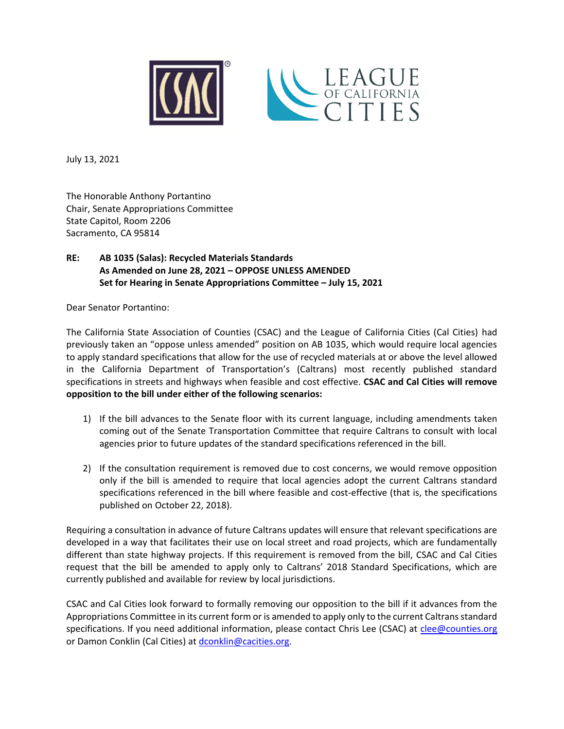

July 13, 2021

The Honorable Anthony Portantino Chair, Senate Appropriations Committee State Capitol, Room 2206 Sacramento, CA 95814

## **RE: AB 1035 (Salas): Recycled Materials Standards As Amended on June 28, 2021 – OPPOSE UNLESS AMENDED Set for Hearing in Senate Appropriations Committee – July 15, 2021**

Dear Senator Portantino:

The California State Association of Counties (CSAC) and the League of California Cities (Cal Cities) had previously taken an "oppose unless amended" position on AB 1035, which would require local agencies to apply standard specifications that allow for the use of recycled materials at or above the level allowed in the California Department of Transportation's (Caltrans) most recently published standard specifications in streets and highways when feasible and cost effective. **CSAC and Cal Cities will remove opposition to the bill under either of the following scenarios:**

- 1) If the bill advances to the Senate floor with its current language, including amendments taken coming out of the Senate Transportation Committee that require Caltrans to consult with local agencies prior to future updates of the standard specifications referenced in the bill.
- 2) If the consultation requirement is removed due to cost concerns, we would remove opposition only if the bill is amended to require that local agencies adopt the current Caltrans standard specifications referenced in the bill where feasible and cost-effective (that is, the specifications published on October 22, 2018).

Requiring a consultation in advance of future Caltrans updates will ensure that relevant specifications are developed in a way that facilitates their use on local street and road projects, which are fundamentally different than state highway projects. If this requirement is removed from the bill, CSAC and Cal Cities request that the bill be amended to apply only to Caltrans' 2018 Standard Specifications, which are currently published and available for review by local jurisdictions.

CSAC and Cal Cities look forward to formally removing our opposition to the bill if it advances from the Appropriations Committee in its current form or is amended to apply only to the current Caltrans standard specifications. If you need additional information, please contact Chris Lee (CSAC) at [clee@counties.org](mailto:clee@counties.org) or Damon Conklin (Cal Cities) at [dconklin@cacities.org.](mailto:dconklin@cacities.org)